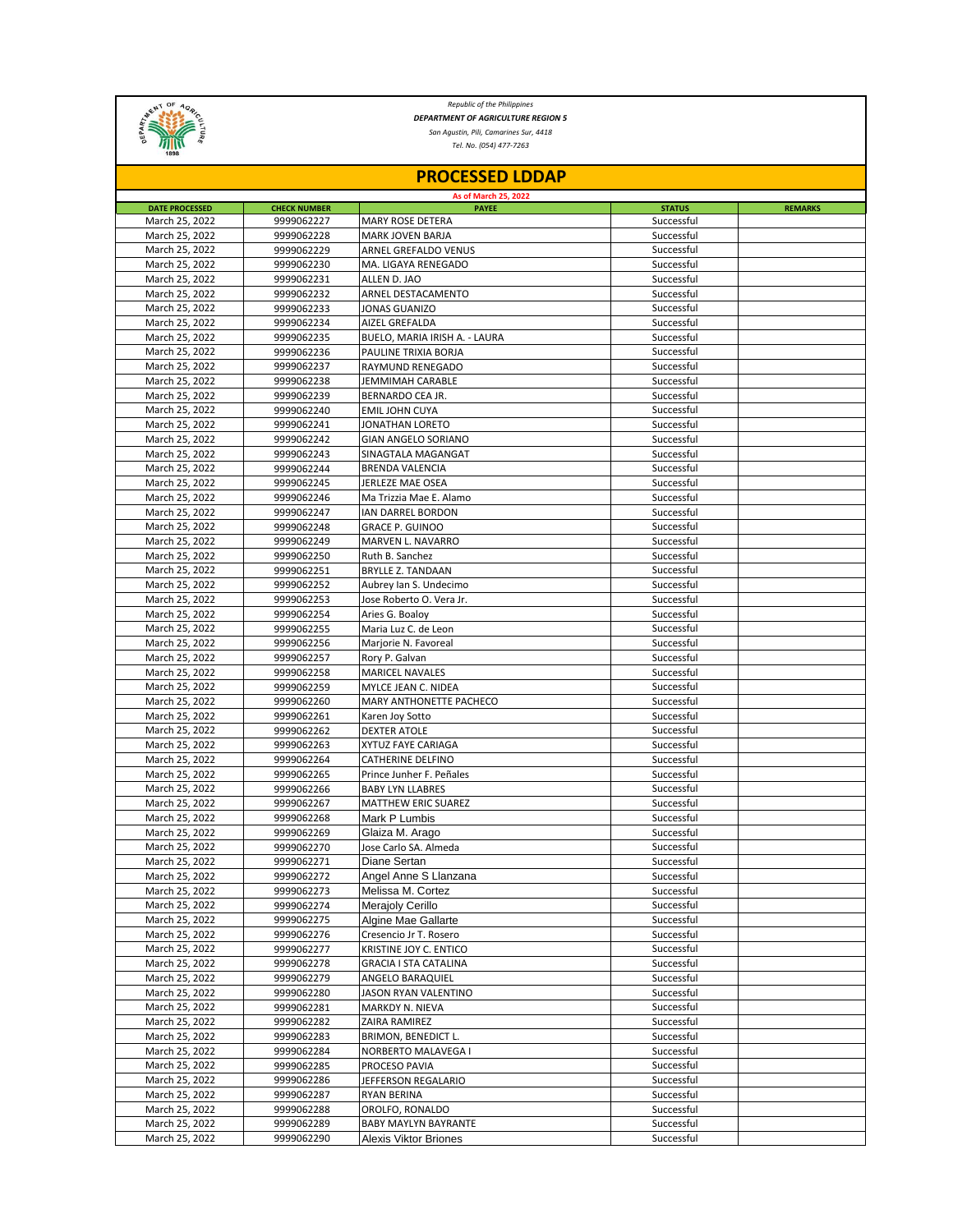

*Republic of the Philippines DEPARTMENT OF AGRICULTURE REGION 5*

*San Agustin, Pili, Camarines Sur, 4418*

*Tel. No. (054) 477-7263*

| <b>PROCESSED LDDAP</b> |                     |                               |               |                |  |  |  |
|------------------------|---------------------|-------------------------------|---------------|----------------|--|--|--|
| As of March 25, 2022   |                     |                               |               |                |  |  |  |
| <b>DATE PROCESSED</b>  | <b>CHECK NUMBER</b> | <b>PAYEE</b>                  | <b>STATUS</b> | <b>REMARKS</b> |  |  |  |
| March 25, 2022         | 9999062227          | <b>MARY ROSE DETERA</b>       | Successful    |                |  |  |  |
| March 25, 2022         | 9999062228          | <b>MARK JOVEN BARJA</b>       | Successful    |                |  |  |  |
| March 25, 2022         | 9999062229          | ARNEL GREFALDO VENUS          | Successful    |                |  |  |  |
| March 25, 2022         | 9999062230          | MA. LIGAYA RENEGADO           | Successful    |                |  |  |  |
| March 25, 2022         | 9999062231          | ALLEN D. JAO                  | Successful    |                |  |  |  |
| March 25, 2022         | 9999062232          | ARNEL DESTACAMENTO            | Successful    |                |  |  |  |
| March 25, 2022         | 9999062233          | JONAS GUANIZO                 | Successful    |                |  |  |  |
| March 25, 2022         | 9999062234          | AIZEL GREFALDA                | Successful    |                |  |  |  |
| March 25, 2022         | 9999062235          | BUELO, MARIA IRISH A. - LAURA | Successful    |                |  |  |  |
| March 25, 2022         | 9999062236          | PAULINE TRIXIA BORJA          | Successful    |                |  |  |  |
| March 25, 2022         | 9999062237          | RAYMUND RENEGADO              | Successful    |                |  |  |  |
| March 25, 2022         | 9999062238          | JEMMIMAH CARABLE              | Successful    |                |  |  |  |
| March 25, 2022         | 9999062239          | BERNARDO CEA JR.              | Successful    |                |  |  |  |
| March 25, 2022         | 9999062240          | <b>EMIL JOHN CUYA</b>         | Successful    |                |  |  |  |
| March 25, 2022         | 9999062241          | JONATHAN LORETO               | Successful    |                |  |  |  |
| March 25, 2022         | 9999062242          | <b>GIAN ANGELO SORIANO</b>    | Successful    |                |  |  |  |
| March 25, 2022         | 9999062243          | SINAGTALA MAGANGAT            | Successful    |                |  |  |  |
| March 25, 2022         | 9999062244          | <b>BRENDA VALENCIA</b>        | Successful    |                |  |  |  |
| March 25, 2022         | 9999062245          | JERLEZE MAE OSEA              | Successful    |                |  |  |  |
| March 25, 2022         | 9999062246          | Ma Trizzia Mae E. Alamo       | Successful    |                |  |  |  |
| March 25, 2022         | 9999062247          | IAN DARREL BORDON             | Successful    |                |  |  |  |
| March 25, 2022         | 9999062248          | <b>GRACE P. GUINOO</b>        | Successful    |                |  |  |  |
| March 25, 2022         | 9999062249          | MARVEN L. NAVARRO             | Successful    |                |  |  |  |
| March 25, 2022         | 9999062250          | Ruth B. Sanchez               | Successful    |                |  |  |  |
| March 25, 2022         | 9999062251          | <b>BRYLLE Z. TANDAAN</b>      | Successful    |                |  |  |  |
| March 25, 2022         | 9999062252          | Aubrey Ian S. Undecimo        | Successful    |                |  |  |  |
| March 25, 2022         | 9999062253          | Jose Roberto O. Vera Jr.      | Successful    |                |  |  |  |
|                        | 9999062254          | Aries G. Boaloy               | Successful    |                |  |  |  |
| March 25, 2022         |                     |                               |               |                |  |  |  |
| March 25, 2022         | 9999062255          | Maria Luz C. de Leon          | Successful    |                |  |  |  |
| March 25, 2022         | 9999062256          | Marjorie N. Favoreal          | Successful    |                |  |  |  |
| March 25, 2022         | 9999062257          | Rory P. Galvan                | Successful    |                |  |  |  |
| March 25, 2022         | 9999062258          | <b>MARICEL NAVALES</b>        | Successful    |                |  |  |  |
| March 25, 2022         | 9999062259          | MYLCE JEAN C. NIDEA           | Successful    |                |  |  |  |
| March 25, 2022         | 9999062260          | MARY ANTHONETTE PACHECO       | Successful    |                |  |  |  |
| March 25, 2022         | 9999062261          | Karen Joy Sotto               | Successful    |                |  |  |  |
| March 25, 2022         | 9999062262          | <b>DEXTER ATOLE</b>           | Successful    |                |  |  |  |
| March 25, 2022         | 9999062263          | XYTUZ FAYE CARIAGA            | Successful    |                |  |  |  |
| March 25, 2022         | 9999062264          | CATHERINE DELFINO             | Successful    |                |  |  |  |
| March 25, 2022         | 9999062265          | Prince Junher F. Peñales      | Successful    |                |  |  |  |
| March 25, 2022         | 9999062266          | <b>BABY LYN LLABRES</b>       | Successful    |                |  |  |  |
| March 25, 2022         | 9999062267          | <b>MATTHEW ERIC SUAREZ</b>    | Successful    |                |  |  |  |
| March 25, 2022         | 9999062268          | Mark P Lumbis                 | Successful    |                |  |  |  |
| March 25, 2022         | 9999062269          | Glaiza M. Arago               | Successful    |                |  |  |  |
| March 25, 2022         | 9999062270          | Jose Carlo SA. Almeda         | Successful    |                |  |  |  |
| March 25, 2022         | 9999062271          | Diane Sertan                  | Successful    |                |  |  |  |
| March 25, 2022         | 9999062272          | Angel Anne S Llanzana         | Successful    |                |  |  |  |
| March 25, 2022         | 9999062273          | Melissa M. Cortez             | Successful    |                |  |  |  |
| March 25, 2022         | 9999062274          | <b>Merajoly Cerillo</b>       | Successful    |                |  |  |  |
| March 25, 2022         | 9999062275          | Algine Mae Gallarte           | Successful    |                |  |  |  |
| March 25, 2022         | 9999062276          | Cresencio Jr T. Rosero        | Successful    |                |  |  |  |
| March 25, 2022         | 9999062277          | KRISTINE JOY C. ENTICO        | Successful    |                |  |  |  |
| March 25, 2022         | 9999062278          | <b>GRACIA I STA CATALINA</b>  | Successful    |                |  |  |  |
| March 25, 2022         | 9999062279          | ANGELO BARAQUIEL              | Successful    |                |  |  |  |
| March 25, 2022         | 9999062280          | JASON RYAN VALENTINO          | Successful    |                |  |  |  |
| March 25, 2022         | 9999062281          | MARKDY N. NIEVA               | Successful    |                |  |  |  |
| March 25, 2022         | 9999062282          | ZAIRA RAMIREZ                 | Successful    |                |  |  |  |
| March 25, 2022         | 9999062283          | BRIMON, BENEDICT L.           | Successful    |                |  |  |  |
| March 25, 2022         | 9999062284          | NORBERTO MALAVEGA I           | Successful    |                |  |  |  |
| March 25, 2022         | 9999062285          | PROCESO PAVIA                 | Successful    |                |  |  |  |
| March 25, 2022         | 9999062286          | JEFFERSON REGALARIO           | Successful    |                |  |  |  |
| March 25, 2022         | 9999062287          | RYAN BERINA                   | Successful    |                |  |  |  |
|                        |                     |                               |               |                |  |  |  |
| March 25, 2022         | 9999062288          | OROLFO, RONALDO               | Successful    |                |  |  |  |
| March 25, 2022         | 9999062289          | BABY MAYLYN BAYRANTE          | Successful    |                |  |  |  |
| March 25, 2022         | 9999062290          | Alexis Viktor Briones         | Successful    |                |  |  |  |